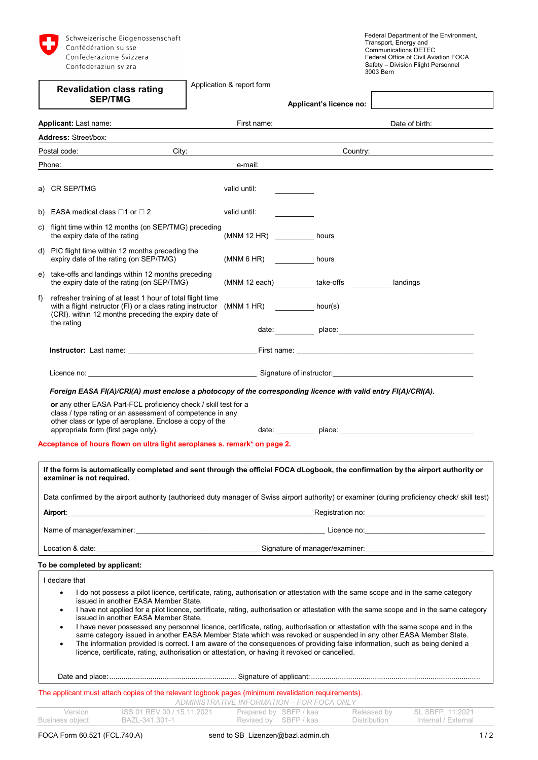|                                                                                                                  | Schweizerische Eidgenossenschaft<br>Confédération suisse<br>Confederazione Svizzera<br>Confederaziun svizra                                                                                                                                                                                                                                                                                                                                                                                                                                                                                                                                                                                                                                |  |                              |                                                                            | Federal Department of the Environment,<br>Transport, Energy and<br><b>Communications DETEC</b><br>Federal Office of Civil Aviation FOCA<br>Safety - Division Flight Personnel<br>3003 Bern |
|------------------------------------------------------------------------------------------------------------------|--------------------------------------------------------------------------------------------------------------------------------------------------------------------------------------------------------------------------------------------------------------------------------------------------------------------------------------------------------------------------------------------------------------------------------------------------------------------------------------------------------------------------------------------------------------------------------------------------------------------------------------------------------------------------------------------------------------------------------------------|--|------------------------------|----------------------------------------------------------------------------|--------------------------------------------------------------------------------------------------------------------------------------------------------------------------------------------|
|                                                                                                                  | <b>Revalidation class rating</b><br><b>SEP/TMG</b>                                                                                                                                                                                                                                                                                                                                                                                                                                                                                                                                                                                                                                                                                         |  | Application & report form    | Applicant's licence no:                                                    |                                                                                                                                                                                            |
|                                                                                                                  | Applicant: Last name:                                                                                                                                                                                                                                                                                                                                                                                                                                                                                                                                                                                                                                                                                                                      |  | First name:                  |                                                                            | Date of birth:                                                                                                                                                                             |
|                                                                                                                  | <b>Address: Street/box:</b>                                                                                                                                                                                                                                                                                                                                                                                                                                                                                                                                                                                                                                                                                                                |  |                              |                                                                            |                                                                                                                                                                                            |
|                                                                                                                  | City:<br>Postal code:                                                                                                                                                                                                                                                                                                                                                                                                                                                                                                                                                                                                                                                                                                                      |  |                              | Country:                                                                   |                                                                                                                                                                                            |
|                                                                                                                  | Phone:                                                                                                                                                                                                                                                                                                                                                                                                                                                                                                                                                                                                                                                                                                                                     |  | e-mail:                      |                                                                            |                                                                                                                                                                                            |
|                                                                                                                  | a) CR SEP/TMG                                                                                                                                                                                                                                                                                                                                                                                                                                                                                                                                                                                                                                                                                                                              |  | valid until:                 |                                                                            |                                                                                                                                                                                            |
|                                                                                                                  | b) EASA medical class $\Box$ 1 or $\Box$ 2                                                                                                                                                                                                                                                                                                                                                                                                                                                                                                                                                                                                                                                                                                 |  | valid until:                 |                                                                            |                                                                                                                                                                                            |
|                                                                                                                  | c) flight time within 12 months (on SEP/TMG) preceding<br>the expiry date of the rating                                                                                                                                                                                                                                                                                                                                                                                                                                                                                                                                                                                                                                                    |  | (MNM 12 HR) __________ hours |                                                                            |                                                                                                                                                                                            |
|                                                                                                                  | d) PIC flight time within 12 months preceding the<br>expiry date of the rating (on SEP/TMG)                                                                                                                                                                                                                                                                                                                                                                                                                                                                                                                                                                                                                                                |  | (MNM 6 HR) hours             |                                                                            |                                                                                                                                                                                            |
|                                                                                                                  | e) take-offs and landings within 12 months preceding<br>the expiry date of the rating (on SEP/TMG)                                                                                                                                                                                                                                                                                                                                                                                                                                                                                                                                                                                                                                         |  |                              | (MNM 12 each) __________ take-offs __________ landings                     |                                                                                                                                                                                            |
| f)                                                                                                               | refresher training of at least 1 hour of total flight time<br>with a flight instructor (FI) or a class rating instructor (MNM 1 HR) ___________ hour(s)<br>(CRI). within 12 months preceding the expiry date of                                                                                                                                                                                                                                                                                                                                                                                                                                                                                                                            |  |                              |                                                                            |                                                                                                                                                                                            |
|                                                                                                                  | the rating                                                                                                                                                                                                                                                                                                                                                                                                                                                                                                                                                                                                                                                                                                                                 |  |                              |                                                                            |                                                                                                                                                                                            |
|                                                                                                                  |                                                                                                                                                                                                                                                                                                                                                                                                                                                                                                                                                                                                                                                                                                                                            |  |                              |                                                                            |                                                                                                                                                                                            |
|                                                                                                                  |                                                                                                                                                                                                                                                                                                                                                                                                                                                                                                                                                                                                                                                                                                                                            |  |                              |                                                                            |                                                                                                                                                                                            |
|                                                                                                                  | Foreign EASA FI(A)/CRI(A) must enclose a photocopy of the corresponding licence with valid entry FI(A)/CRI(A).                                                                                                                                                                                                                                                                                                                                                                                                                                                                                                                                                                                                                             |  |                              |                                                                            |                                                                                                                                                                                            |
|                                                                                                                  | or any other EASA Part-FCL proficiency check / skill test for a<br>class / type rating or an assessment of competence in any<br>other class or type of aeroplane. Enclose a copy of the                                                                                                                                                                                                                                                                                                                                                                                                                                                                                                                                                    |  |                              |                                                                            |                                                                                                                                                                                            |
| appropriate form (first page only).<br>Acceptance of hours flown on ultra light aeroplanes s. remark* on page 2. |                                                                                                                                                                                                                                                                                                                                                                                                                                                                                                                                                                                                                                                                                                                                            |  |                              |                                                                            |                                                                                                                                                                                            |
|                                                                                                                  |                                                                                                                                                                                                                                                                                                                                                                                                                                                                                                                                                                                                                                                                                                                                            |  |                              |                                                                            |                                                                                                                                                                                            |
|                                                                                                                  | If the form is automatically completed and sent through the official FOCA dLogbook, the confirmation by the airport authority or<br>examiner is not required.                                                                                                                                                                                                                                                                                                                                                                                                                                                                                                                                                                              |  |                              |                                                                            |                                                                                                                                                                                            |
|                                                                                                                  | Data confirmed by the airport authority (authorised duty manager of Swiss airport authority) or examiner (during proficiency check/ skill test)                                                                                                                                                                                                                                                                                                                                                                                                                                                                                                                                                                                            |  |                              |                                                                            |                                                                                                                                                                                            |
|                                                                                                                  | <b>Airport</b> : <b>Airport</b> : <b>Airport Airport Airport Airport Airport Airport Airport Airport Airport Airport Airport Airport Airport Airport Airport Airport Airport Airport Airport Airport</b>                                                                                                                                                                                                                                                                                                                                                                                                                                                                                                                                   |  |                              |                                                                            |                                                                                                                                                                                            |
|                                                                                                                  | Name of manager/examiner: example and the state of the state of the state of the state of the state of the state of the state of the state of the state of the state of the state of the state of the state of the state of th                                                                                                                                                                                                                                                                                                                                                                                                                                                                                                             |  |                              |                                                                            |                                                                                                                                                                                            |
|                                                                                                                  |                                                                                                                                                                                                                                                                                                                                                                                                                                                                                                                                                                                                                                                                                                                                            |  |                              |                                                                            |                                                                                                                                                                                            |
|                                                                                                                  | To be completed by applicant:                                                                                                                                                                                                                                                                                                                                                                                                                                                                                                                                                                                                                                                                                                              |  |                              |                                                                            |                                                                                                                                                                                            |
|                                                                                                                  | I declare that                                                                                                                                                                                                                                                                                                                                                                                                                                                                                                                                                                                                                                                                                                                             |  |                              |                                                                            |                                                                                                                                                                                            |
|                                                                                                                  | I do not possess a pilot licence, certificate, rating, authorisation or attestation with the same scope and in the same category<br>$\bullet$<br>issued in another EASA Member State.<br>٠<br>issued in another EASA Member State.<br>I have never possessed any personnel licence, certificate, rating, authorisation or attestation with the same scope and in the<br>٠<br>same category issued in another EASA Member State which was revoked or suspended in any other EASA Member State.<br>The information provided is correct. I am aware of the consequences of providing false information, such as being denied a<br>$\bullet$<br>licence, certificate, rating, authorisation or attestation, or having it revoked or cancelled. |  |                              |                                                                            | I have not applied for a pilot licence, certificate, rating, authorisation or attestation with the same scope and in the same category                                                     |
|                                                                                                                  |                                                                                                                                                                                                                                                                                                                                                                                                                                                                                                                                                                                                                                                                                                                                            |  |                              |                                                                            |                                                                                                                                                                                            |
|                                                                                                                  | The applicant must attach copies of the relevant logbook pages (minimum revalidation requirements).                                                                                                                                                                                                                                                                                                                                                                                                                                                                                                                                                                                                                                        |  |                              | ADMINISTRATIVE INFORMATION - FOR FOCA ONLY                                 |                                                                                                                                                                                            |
|                                                                                                                  | Version<br>BAZL-341.301-1<br>Business object                                                                                                                                                                                                                                                                                                                                                                                                                                                                                                                                                                                                                                                                                               |  |                              | ISS 01 REV 00 / 15.11.2021 Prepared by SBFP / kaa<br>Revised by SBFP / kaa | Released by<br>SL SBFP, 11.2021<br>Internal / External<br><b>Distribution</b>                                                                                                              |